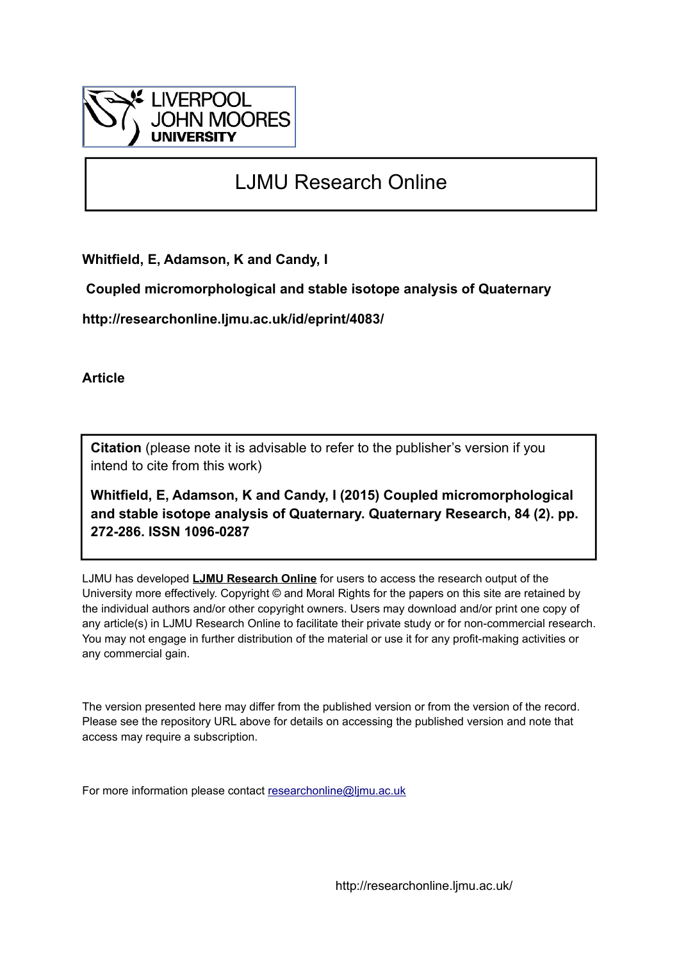

# LJMU Research Online

**Whitfield, E, Adamson, K and Candy, I**

 **Coupled micromorphological and stable isotope analysis of Quaternary**

**http://researchonline.ljmu.ac.uk/id/eprint/4083/**

**Article**

**Citation** (please note it is advisable to refer to the publisher's version if you intend to cite from this work)

**Whitfield, E, Adamson, K and Candy, I (2015) Coupled micromorphological and stable isotope analysis of Quaternary. Quaternary Research, 84 (2). pp. 272-286. ISSN 1096-0287** 

LJMU has developed **[LJMU Research Online](http://researchonline.ljmu.ac.uk/)** for users to access the research output of the University more effectively. Copyright © and Moral Rights for the papers on this site are retained by the individual authors and/or other copyright owners. Users may download and/or print one copy of any article(s) in LJMU Research Online to facilitate their private study or for non-commercial research. You may not engage in further distribution of the material or use it for any profit-making activities or any commercial gain.

The version presented here may differ from the published version or from the version of the record. Please see the repository URL above for details on accessing the published version and note that access may require a subscription.

For more information please contact [researchonline@ljmu.ac.uk](mailto:researchonline@ljmu.ac.uk)

http://researchonline.ljmu.ac.uk/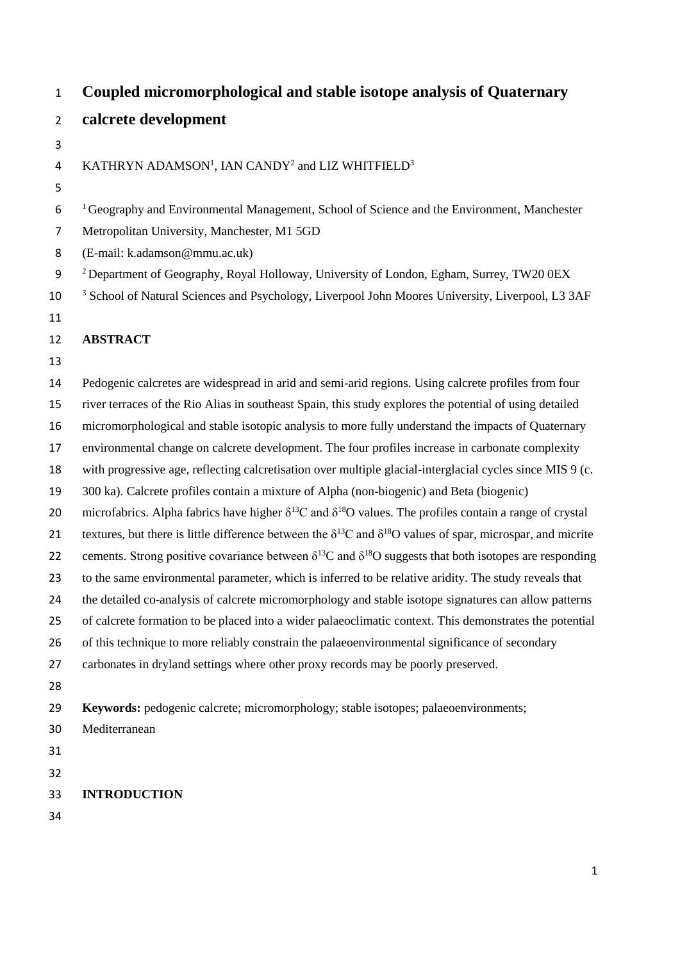- **Coupled micromorphological and stable isotope analysis of Quaternary calcrete development**
- 4 KATHRYN ADAMSON<sup>1</sup>, IAN CANDY<sup>2</sup> and LIZ WHITFIELD<sup>3</sup>
- <sup>1</sup> Geography and Environmental Management, School of Science and the Environment, Manchester
- Metropolitan University, Manchester, M1 5GD
- (E-mail: k.adamson@mmu.ac.uk)
- Department of Geography, Royal Holloway, University of London, Egham, Surrey, TW20 0EX
- <sup>3</sup> School of Natural Sciences and Psychology, Liverpool John Moores University, Liverpool, L3 3AF
- 

## **ABSTRACT**

 Pedogenic calcretes are widespread in arid and semi-arid regions. Using calcrete profiles from four river terraces of the Rio Alias in southeast Spain, this study explores the potential of using detailed micromorphological and stable isotopic analysis to more fully understand the impacts of Quaternary environmental change on calcrete development. The four profiles increase in carbonate complexity with progressive age, reflecting calcretisation over multiple glacial-interglacial cycles since MIS 9 (c. 300 ka). Calcrete profiles contain a mixture of Alpha (non-biogenic) and Beta (biogenic) 20 microfabrics. Alpha fabrics have higher  $\delta^{13}$ C and  $\delta^{18}$ O values. The profiles contain a range of crystal 21 textures, but there is little difference between the  $\delta^{13}$ C and  $\delta^{18}$ O values of spar, microspar, and micrite 22 cements. Strong positive covariance between  $\delta^{13}C$  and  $\delta^{18}O$  suggests that both isotopes are responding to the same environmental parameter, which is inferred to be relative aridity. The study reveals that the detailed co-analysis of calcrete micromorphology and stable isotope signatures can allow patterns of calcrete formation to be placed into a wider palaeoclimatic context. This demonstrates the potential 26 of this technique to more reliably constrain the palaeoenvironmental significance of secondary carbonates in dryland settings where other proxy records may be poorly preserved. **Keywords:** pedogenic calcrete; micromorphology; stable isotopes; palaeoenvironments; Mediterranean 

- 
- **INTRODUCTION**
-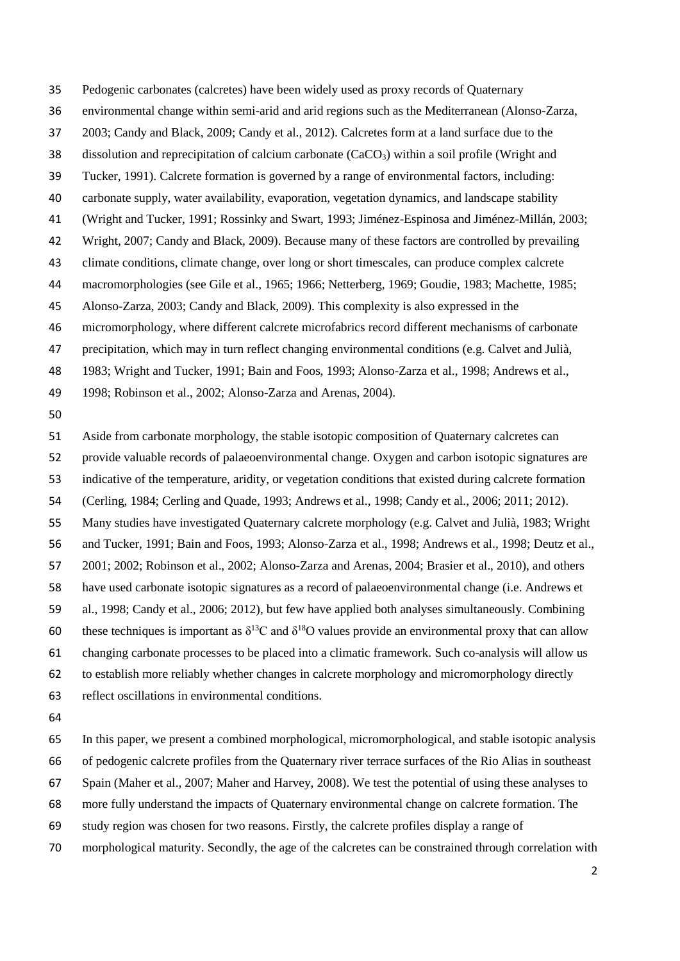Pedogenic carbonates (calcretes) have been widely used as proxy records of Quaternary

environmental change within semi-arid and arid regions such as the Mediterranean (Alonso-Zarza,

2003; Candy and Black, 2009; Candy et al., 2012). Calcretes form at a land surface due to the

38 dissolution and reprecipitation of calcium carbonate  $(CaCO<sub>3</sub>)$  within a soil profile (Wright and

Tucker, 1991). Calcrete formation is governed by a range of environmental factors, including:

carbonate supply, water availability, evaporation, vegetation dynamics, and landscape stability

(Wright and Tucker, 1991; Rossinky and Swart, 1993; Jiménez-Espinosa and Jiménez-Millán, 2003;

- Wright, 2007; Candy and Black, 2009). Because many of these factors are controlled by prevailing
- climate conditions, climate change, over long or short timescales, can produce complex calcrete

macromorphologies (see Gile et al., 1965; 1966; Netterberg, 1969; Goudie, 1983; Machette, 1985;

Alonso-Zarza, 2003; Candy and Black, 2009). This complexity is also expressed in the

micromorphology, where different calcrete microfabrics record different mechanisms of carbonate

precipitation, which may in turn reflect changing environmental conditions (e.g. Calvet and Julià,

1983; Wright and Tucker, 1991; Bain and Foos, 1993; Alonso-Zarza et al., 1998; Andrews et al.,

1998; Robinson et al., 2002; Alonso-Zarza and Arenas, 2004).

Aside from carbonate morphology, the stable isotopic composition of Quaternary calcretes can

provide valuable records of palaeoenvironmental change. Oxygen and carbon isotopic signatures are

indicative of the temperature, aridity, or vegetation conditions that existed during calcrete formation

(Cerling, 1984; Cerling and Quade, 1993; Andrews et al., 1998; Candy et al., 2006; 2011; 2012).

Many studies have investigated Quaternary calcrete morphology (e.g. Calvet and Julià, 1983; Wright

and Tucker, 1991; Bain and Foos, 1993; Alonso-Zarza et al., 1998; Andrews et al., 1998; Deutz et al.,

2001; 2002; Robinson et al., 2002; Alonso-Zarza and Arenas, 2004; Brasier et al., 2010), and others

have used carbonate isotopic signatures as a record of palaeoenvironmental change (i.e. Andrews et

al., 1998; Candy et al., 2006; 2012), but few have applied both analyses simultaneously. Combining

60 these techniques is important as  $\delta^{13}$ C and  $\delta^{18}$ O values provide an environmental proxy that can allow

changing carbonate processes to be placed into a climatic framework. Such co-analysis will allow us

to establish more reliably whether changes in calcrete morphology and micromorphology directly

- reflect oscillations in environmental conditions.
- 

In this paper, we present a combined morphological, micromorphological, and stable isotopic analysis

of pedogenic calcrete profiles from the Quaternary river terrace surfaces of the Rio Alias in southeast

Spain (Maher et al., 2007; Maher and Harvey, 2008). We test the potential of using these analyses to

more fully understand the impacts of Quaternary environmental change on calcrete formation. The

- study region was chosen for two reasons. Firstly, the calcrete profiles display a range of
- morphological maturity. Secondly, the age of the calcretes can be constrained through correlation with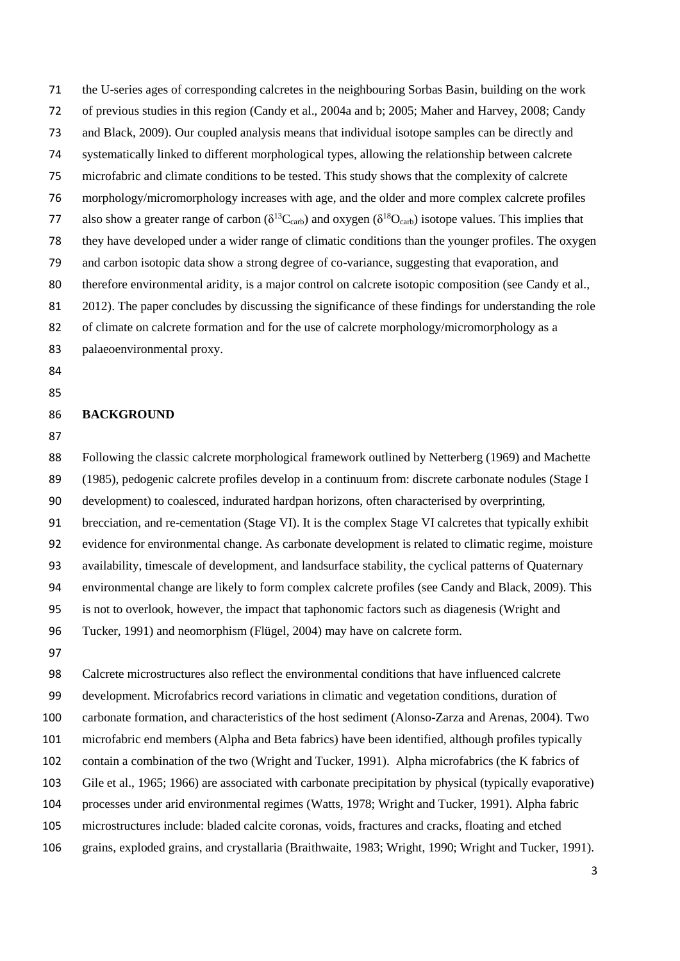- the U-series ages of corresponding calcretes in the neighbouring Sorbas Basin, building on the work
- of previous studies in this region (Candy et al., 2004a and b; 2005; Maher and Harvey, 2008; Candy
- and Black, 2009). Our coupled analysis means that individual isotope samples can be directly and
- systematically linked to different morphological types, allowing the relationship between calcrete
- microfabric and climate conditions to be tested. This study shows that the complexity of calcrete
- morphology/micromorphology increases with age, and the older and more complex calcrete profiles
- 77 also show a greater range of carbon ( $\delta^{13}C_{\text{carb}}$ ) and oxygen ( $\delta^{18}O_{\text{carb}}$ ) isotope values. This implies that
- they have developed under a wider range of climatic conditions than the younger profiles. The oxygen
- and carbon isotopic data show a strong degree of co-variance, suggesting that evaporation, and
- therefore environmental aridity, is a major control on calcrete isotopic composition (see Candy et al.,
- 2012). The paper concludes by discussing the significance of these findings for understanding the role
- 82 of climate on calcrete formation and for the use of calcrete morphology/micromorphology as a
- palaeoenvironmental proxy.
- 
- 

#### **BACKGROUND**

 Following the classic calcrete morphological framework outlined by Netterberg (1969) and Machette (1985), pedogenic calcrete profiles develop in a continuum from: discrete carbonate nodules (Stage I development) to coalesced, indurated hardpan horizons, often characterised by overprinting, brecciation, and re-cementation (Stage VI). It is the complex Stage VI calcretes that typically exhibit evidence for environmental change. As carbonate development is related to climatic regime, moisture availability, timescale of development, and landsurface stability, the cyclical patterns of Quaternary environmental change are likely to form complex calcrete profiles (see Candy and Black, 2009). This is not to overlook, however, the impact that taphonomic factors such as diagenesis (Wright and Tucker, 1991) and neomorphism (Flügel, 2004) may have on calcrete form.

 Calcrete microstructures also reflect the environmental conditions that have influenced calcrete development. Microfabrics record variations in climatic and vegetation conditions, duration of carbonate formation, and characteristics of the host sediment (Alonso-Zarza and Arenas, 2004). Two microfabric end members (Alpha and Beta fabrics) have been identified, although profiles typically contain a combination of the two (Wright and Tucker, 1991). Alpha microfabrics (the K fabrics of Gile et al., 1965; 1966) are associated with carbonate precipitation by physical (typically evaporative) processes under arid environmental regimes (Watts, 1978; Wright and Tucker, 1991). Alpha fabric microstructures include: bladed calcite coronas, voids, fractures and cracks, floating and etched

grains, exploded grains, and crystallaria (Braithwaite, 1983; Wright, 1990; Wright and Tucker, 1991).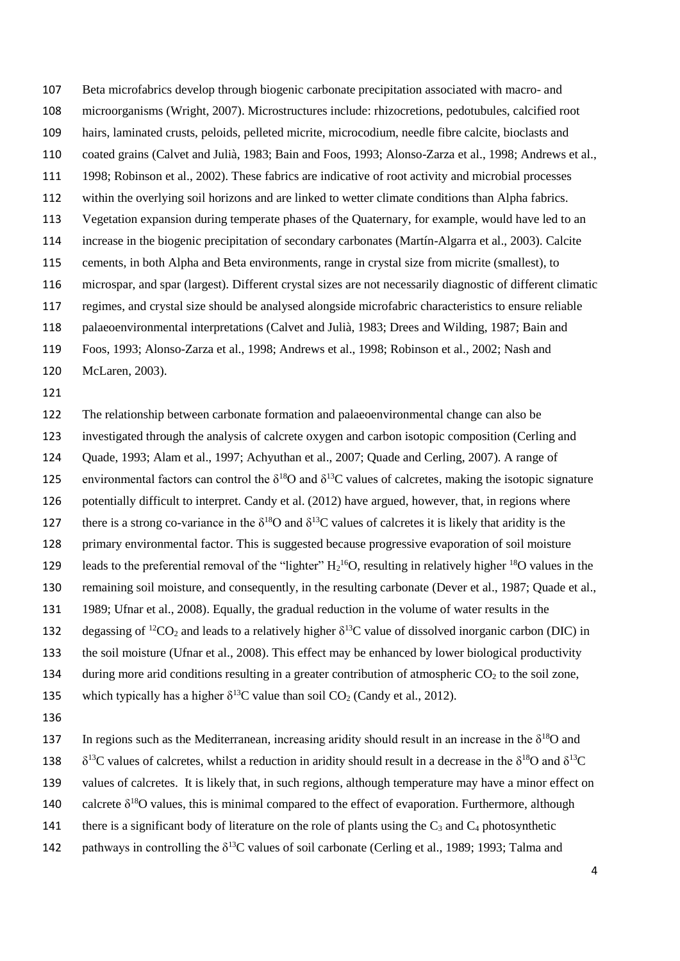Beta microfabrics develop through biogenic carbonate precipitation associated with macro- and microorganisms (Wright, 2007). Microstructures include: rhizocretions, pedotubules, calcified root hairs, laminated crusts, peloids, pelleted micrite, microcodium, needle fibre calcite, bioclasts and coated grains (Calvet and Julià, 1983; Bain and Foos, 1993; Alonso-Zarza et al., 1998; Andrews et al., 1998; Robinson et al., 2002). These fabrics are indicative of root activity and microbial processes within the overlying soil horizons and are linked to wetter climate conditions than Alpha fabrics. Vegetation expansion during temperate phases of the Quaternary, for example, would have led to an increase in the biogenic precipitation of secondary carbonates (Martín-Algarra et al., 2003). Calcite cements, in both Alpha and Beta environments, range in crystal size from micrite (smallest), to microspar, and spar (largest). Different crystal sizes are not necessarily diagnostic of different climatic regimes, and crystal size should be analysed alongside microfabric characteristics to ensure reliable palaeoenvironmental interpretations (Calvet and Julià, 1983; Drees and Wilding, 1987; Bain and

Foos, 1993; Alonso-Zarza et al., 1998; Andrews et al., 1998; Robinson et al., 2002; Nash and

- McLaren, 2003).
- 

 The relationship between carbonate formation and palaeoenvironmental change can also be investigated through the analysis of calcrete oxygen and carbon isotopic composition (Cerling and Quade, 1993; Alam et al., 1997; Achyuthan et al., 2007; Quade and Cerling, 2007). A range of 125 environmental factors can control the  $\delta^{18}O$  and  $\delta^{13}C$  values of calcretes, making the isotopic signature potentially difficult to interpret. Candy et al. (2012) have argued, however, that, in regions where there is a strong co-variance in the  $\delta^{18}$ O and  $\delta^{13}$ C values of calcretes it is likely that aridity is the primary environmental factor. This is suggested because progressive evaporation of soil moisture 129 leads to the preferential removal of the "lighter"  $H_2$ <sup>16</sup>O, resulting in relatively higher <sup>18</sup>O values in the remaining soil moisture, and consequently, in the resulting carbonate (Dever et al., 1987; Quade et al., 1989; Ufnar et al., 2008). Equally, the gradual reduction in the volume of water results in the 132 degassing of <sup>12</sup>CO<sub>2</sub> and leads to a relatively higher  $\delta^{13}$ C value of dissolved inorganic carbon (DIC) in the soil moisture (Ufnar et al., 2008). This effect may be enhanced by lower biological productivity 134 during more arid conditions resulting in a greater contribution of atmospheric  $CO<sub>2</sub>$  to the soil zone, 135 which typically has a higher  $\delta^{13}$ C value than soil CO<sub>2</sub> (Candy et al., 2012). 

137 In regions such as the Mediterranean, increasing aridity should result in an increase in the  $\delta^{18}O$  and

138  $\delta^{13}$ C values of calcretes, whilst a reduction in aridity should result in a decrease in the  $\delta^{18}$ O and  $\delta^{13}$ C

values of calcretes. It is likely that, in such regions, although temperature may have a minor effect on

140 calcrete  $\delta^{18}$ O values, this is minimal compared to the effect of evaporation. Furthermore, although

- 141 there is a significant body of literature on the role of plants using the  $C_3$  and  $C_4$  photosynthetic
- 142 pathways in controlling the  $\delta^{13}$ C values of soil carbonate (Cerling et al., 1989; 1993; Talma and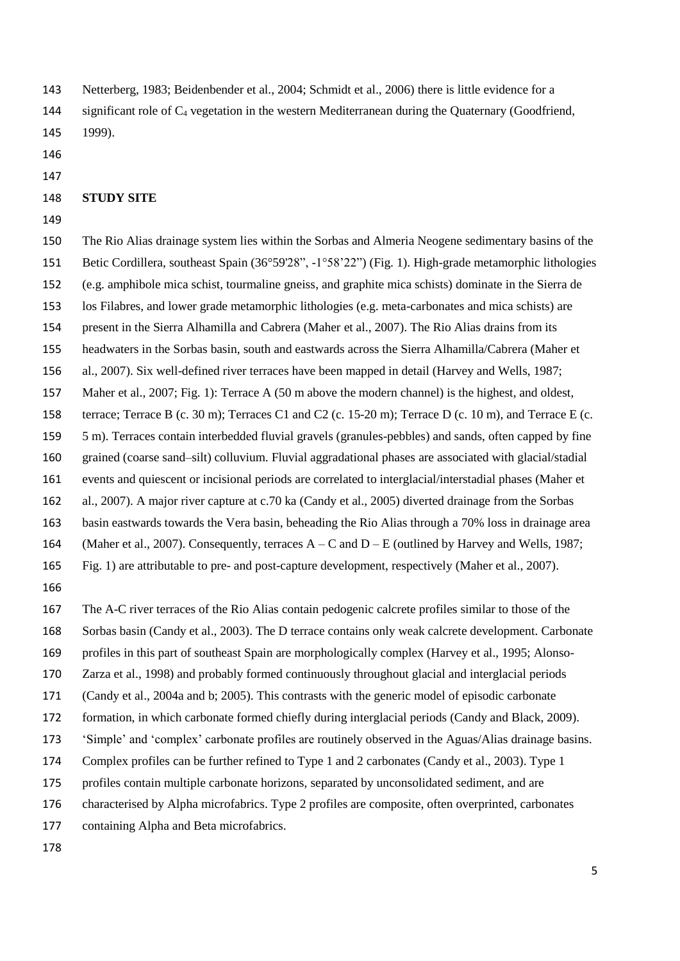- Netterberg, 1983; Beidenbender et al., 2004; Schmidt et al., 2006) there is little evidence for a 144 significant role of C<sub>4</sub> vegetation in the western Mediterranean during the Quaternary (Goodfriend, 1999).
- 
- 

## **STUDY SITE**

 The Rio Alias drainage system lies within the Sorbas and Almeria Neogene sedimentary basins of the Betic Cordillera, southeast Spain (36°59'28", -1°58'22") (Fig. 1). High-grade metamorphic lithologies (e.g. amphibole mica schist, tourmaline gneiss, and graphite mica schists) dominate in the Sierra de los Filabres, and lower grade metamorphic lithologies (e.g. meta-carbonates and mica schists) are present in the Sierra Alhamilla and Cabrera (Maher et al., 2007). The Rio Alias drains from its headwaters in the Sorbas basin, south and eastwards across the Sierra Alhamilla/Cabrera (Maher et al., 2007). Six well-defined river terraces have been mapped in detail (Harvey and Wells, 1987; Maher et al., 2007; Fig. 1): Terrace A (50 m above the modern channel) is the highest, and oldest, terrace; Terrace B (c. 30 m); Terraces C1 and C2 (c. 15-20 m); Terrace D (c. 10 m), and Terrace E (c. 5 m). Terraces contain interbedded fluvial gravels (granules-pebbles) and sands, often capped by fine grained (coarse sand–silt) colluvium. Fluvial aggradational phases are associated with glacial/stadial events and quiescent or incisional periods are correlated to interglacial/interstadial phases (Maher et al., 2007). A major river capture at c.70 ka (Candy et al., 2005) diverted drainage from the Sorbas basin eastwards towards the Vera basin, beheading the Rio Alias through a 70% loss in drainage area (Maher et al., 2007). Consequently, terraces A – C and D – E (outlined by Harvey and Wells, 1987; Fig. 1) are attributable to pre- and post-capture development, respectively (Maher et al., 2007). 

 The A-C river terraces of the Rio Alias contain pedogenic calcrete profiles similar to those of the Sorbas basin (Candy et al., 2003). The D terrace contains only weak calcrete development. Carbonate profiles in this part of southeast Spain are morphologically complex (Harvey et al., 1995; Alonso-Zarza et al., 1998) and probably formed continuously throughout glacial and interglacial periods

- (Candy et al., 2004a and b; 2005). This contrasts with the generic model of episodic carbonate
- formation, in which carbonate formed chiefly during interglacial periods (Candy and Black, 2009).
- 'Simple' and 'complex' carbonate profiles are routinely observed in the Aguas/Alias drainage basins.
- Complex profiles can be further refined to Type 1 and 2 carbonates (Candy et al., 2003). Type 1
- profiles contain multiple carbonate horizons, separated by unconsolidated sediment, and are
- characterised by Alpha microfabrics. Type 2 profiles are composite, often overprinted, carbonates
- containing Alpha and Beta microfabrics.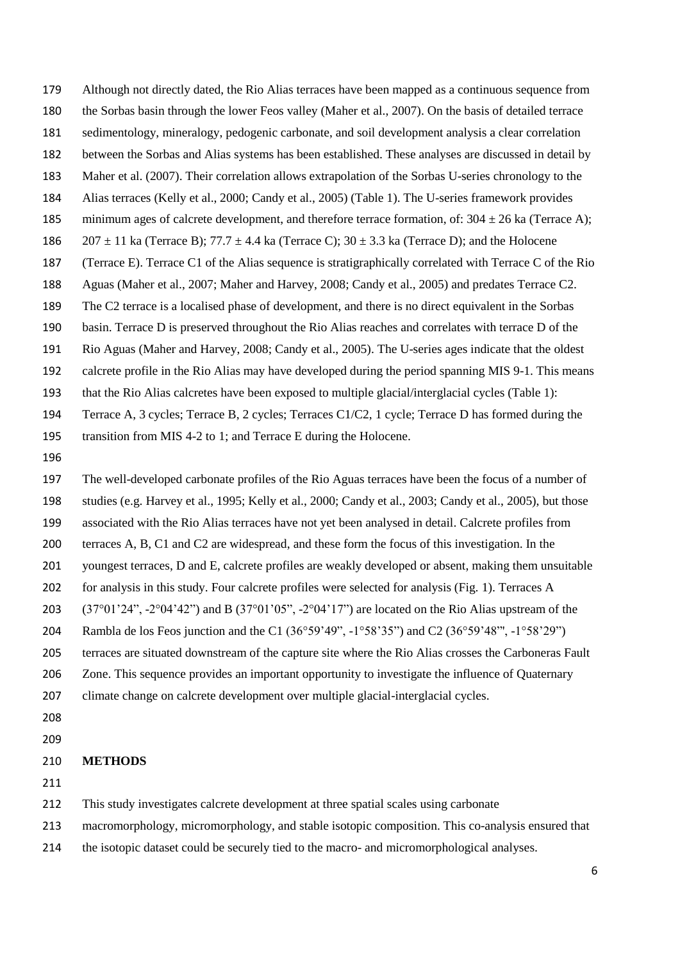- Although not directly dated, the Rio Alias terraces have been mapped as a continuous sequence from
- the Sorbas basin through the lower Feos valley (Maher et al., 2007). On the basis of detailed terrace
- sedimentology, mineralogy, pedogenic carbonate, and soil development analysis a clear correlation
- between the Sorbas and Alias systems has been established. These analyses are discussed in detail by
- Maher et al. (2007). Their correlation allows extrapolation of the Sorbas U-series chronology to the
- Alias terraces (Kelly et al., 2000; Candy et al., 2005) (Table 1). The U-series framework provides
- 185 minimum ages of calcrete development, and therefore terrace formation, of:  $304 \pm 26$  ka (Terrace A);
- 186  $207 \pm 11$  ka (Terrace B); 77.7  $\pm$  4.4 ka (Terrace C); 30  $\pm$  3.3 ka (Terrace D); and the Holocene
- (Terrace E). Terrace C1 of the Alias sequence is stratigraphically correlated with Terrace C of the Rio
- Aguas (Maher et al., 2007; Maher and Harvey, 2008; Candy et al., 2005) and predates Terrace C2.
- The C2 terrace is a localised phase of development, and there is no direct equivalent in the Sorbas
- basin. Terrace D is preserved throughout the Rio Alias reaches and correlates with terrace D of the
- Rio Aguas (Maher and Harvey, 2008; Candy et al., 2005). The U-series ages indicate that the oldest
- calcrete profile in the Rio Alias may have developed during the period spanning MIS 9-1. This means
- that the Rio Alias calcretes have been exposed to multiple glacial/interglacial cycles (Table 1):
- Terrace A, 3 cycles; Terrace B, 2 cycles; Terraces C1/C2, 1 cycle; Terrace D has formed during the
- transition from MIS 4-2 to 1; and Terrace E during the Holocene.
- 

 The well-developed carbonate profiles of the Rio Aguas terraces have been the focus of a number of studies (e.g. Harvey et al., 1995; Kelly et al., 2000; Candy et al., 2003; Candy et al., 2005), but those associated with the Rio Alias terraces have not yet been analysed in detail. Calcrete profiles from terraces A, B, C1 and C2 are widespread, and these form the focus of this investigation. In the youngest terraces, D and E, calcrete profiles are weakly developed or absent, making them unsuitable for analysis in this study. Four calcrete profiles were selected for analysis (Fig. 1). Terraces A (37°01'24", -2°04'42") and B (37°01'05", -2°04'17") are located on the Rio Alias upstream of the Rambla de los Feos junction and the C1 (36°59'49", -1°58'35") and C2 (36°59'48"', -1°58'29") terraces are situated downstream of the capture site where the Rio Alias crosses the Carboneras Fault Zone. This sequence provides an important opportunity to investigate the influence of Quaternary climate change on calcrete development over multiple glacial-interglacial cycles. 

## **METHODS**

- This study investigates calcrete development at three spatial scales using carbonate
- macromorphology, micromorphology, and stable isotopic composition. This co-analysis ensured that
- 214 the isotopic dataset could be securely tied to the macro- and micromorphological analyses.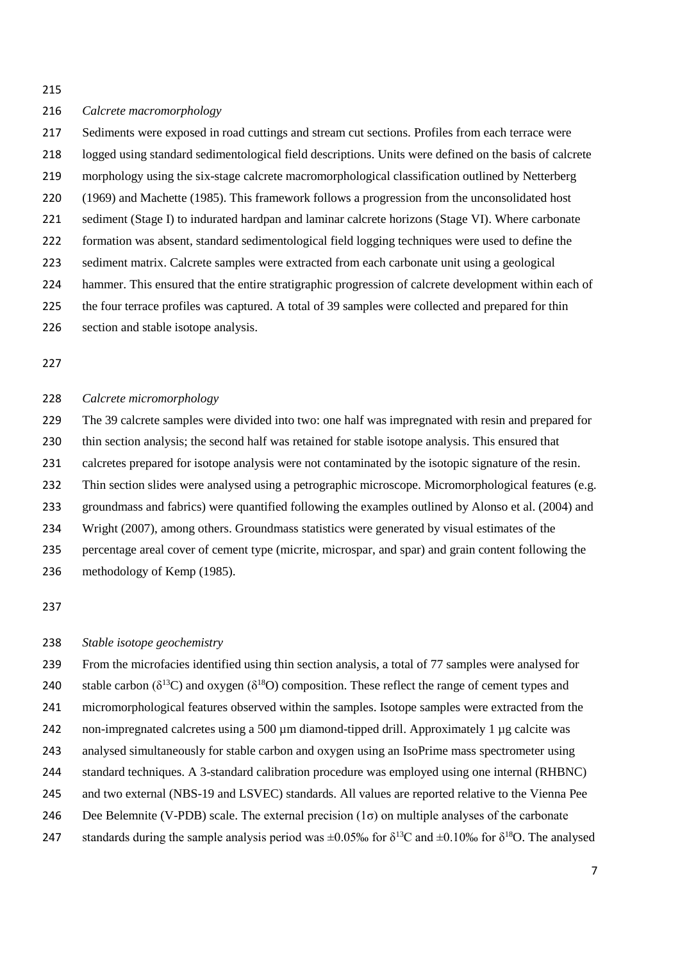#### *Calcrete macromorphology*

 Sediments were exposed in road cuttings and stream cut sections. Profiles from each terrace were logged using standard sedimentological field descriptions. Units were defined on the basis of calcrete morphology using the six-stage calcrete macromorphological classification outlined by Netterberg (1969) and Machette (1985). This framework follows a progression from the unconsolidated host sediment (Stage I) to indurated hardpan and laminar calcrete horizons (Stage VI). Where carbonate formation was absent, standard sedimentological field logging techniques were used to define the sediment matrix. Calcrete samples were extracted from each carbonate unit using a geological hammer. This ensured that the entire stratigraphic progression of calcrete development within each of the four terrace profiles was captured. A total of 39 samples were collected and prepared for thin section and stable isotope analysis.

#### *Calcrete micromorphology*

 The 39 calcrete samples were divided into two: one half was impregnated with resin and prepared for thin section analysis; the second half was retained for stable isotope analysis. This ensured that calcretes prepared for isotope analysis were not contaminated by the isotopic signature of the resin. Thin section slides were analysed using a petrographic microscope. Micromorphological features (e.g. groundmass and fabrics) were quantified following the examples outlined by Alonso et al. (2004) and Wright (2007), among others. Groundmass statistics were generated by visual estimates of the percentage areal cover of cement type (micrite, microspar, and spar) and grain content following the methodology of Kemp (1985).

## *Stable isotope geochemistry*

 From the microfacies identified using thin section analysis, a total of 77 samples were analysed for 240 stable carbon ( $\delta^{13}C$ ) and oxygen ( $\delta^{18}O$ ) composition. These reflect the range of cement types and micromorphological features observed within the samples. Isotope samples were extracted from the 242 non-impregnated calcretes using a 500  $\mu$ m diamond-tipped drill. Approximately 1  $\mu$ g calcite was analysed simultaneously for stable carbon and oxygen using an IsoPrime mass spectrometer using standard techniques. A 3-standard calibration procedure was employed using one internal (RHBNC) and two external (NBS-19 and LSVEC) standards. All values are reported relative to the Vienna Pee 246 Dee Belemnite (V-PDB) scale. The external precision  $(1\sigma)$  on multiple analyses of the carbonate 247 standards during the sample analysis period was  $\pm 0.05\%$  for  $\delta^{13}$ C and  $\pm 0.10\%$  for  $\delta^{18}$ O. The analysed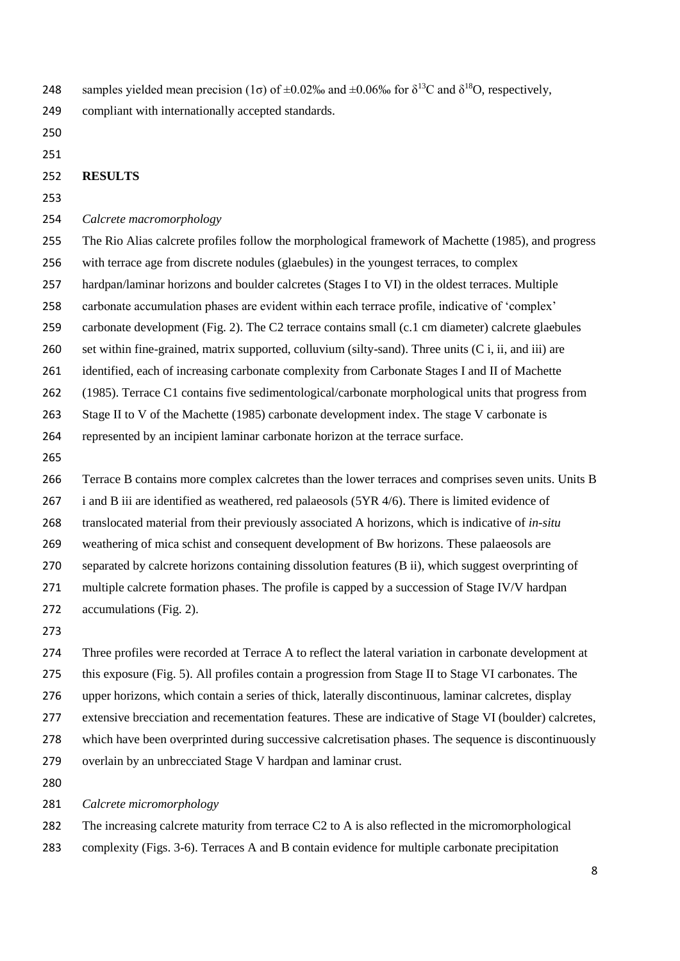248 samples yielded mean precision (1σ) of  $\pm 0.02\%$  and  $\pm 0.06\%$  for δ<sup>13</sup>C and δ<sup>18</sup>O, respectively, compliant with internationally accepted standards.

#### **RESULTS**

## *Calcrete macromorphology*

 The Rio Alias calcrete profiles follow the morphological framework of Machette (1985), and progress with terrace age from discrete nodules (glaebules) in the youngest terraces, to complex hardpan/laminar horizons and boulder calcretes (Stages I to VI) in the oldest terraces. Multiple carbonate accumulation phases are evident within each terrace profile, indicative of 'complex' carbonate development (Fig. 2). The C2 terrace contains small (c.1 cm diameter) calcrete glaebules set within fine-grained, matrix supported, colluvium (silty-sand). Three units (C i, ii, and iii) are identified, each of increasing carbonate complexity from Carbonate Stages I and II of Machette

(1985). Terrace C1 contains five sedimentological/carbonate morphological units that progress from

Stage II to V of the Machette (1985) carbonate development index. The stage V carbonate is

- represented by an incipient laminar carbonate horizon at the terrace surface.
- 

Terrace B contains more complex calcretes than the lower terraces and comprises seven units. Units B

i and B iii are identified as weathered, red palaeosols (5YR 4/6). There is limited evidence of

translocated material from their previously associated A horizons, which is indicative of *in-situ* 

- weathering of mica schist and consequent development of Bw horizons. These palaeosols are
- separated by calcrete horizons containing dissolution features (B ii), which suggest overprinting of
- 271 multiple calcrete formation phases. The profile is capped by a succession of Stage IV/V hardpan
- accumulations (Fig. 2).
- 

 Three profiles were recorded at Terrace A to reflect the lateral variation in carbonate development at this exposure (Fig. 5). All profiles contain a progression from Stage II to Stage VI carbonates. The upper horizons, which contain a series of thick, laterally discontinuous, laminar calcretes, display extensive brecciation and recementation features. These are indicative of Stage VI (boulder) calcretes, which have been overprinted during successive calcretisation phases. The sequence is discontinuously overlain by an unbrecciated Stage V hardpan and laminar crust.

## *Calcrete micromorphology*

The increasing calcrete maturity from terrace C2 to A is also reflected in the micromorphological

complexity (Figs. 3-6). Terraces A and B contain evidence for multiple carbonate precipitation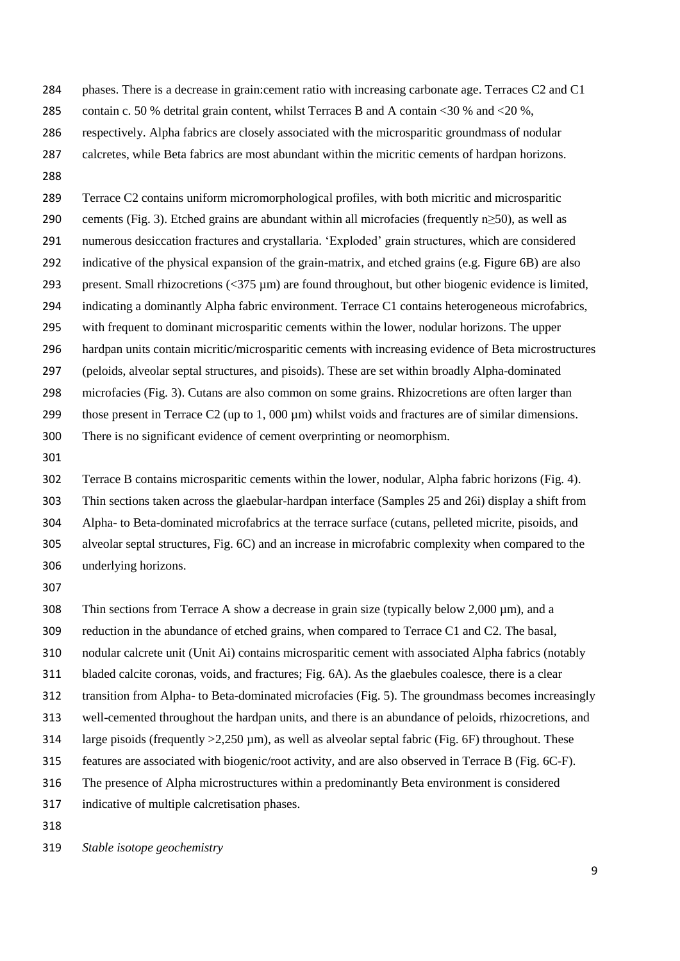- phases. There is a decrease in grain:cement ratio with increasing carbonate age. Terraces C2 and C1
- contain c. 50 % detrital grain content, whilst Terraces B and A contain <30 % and <20 %,
- respectively. Alpha fabrics are closely associated with the microsparitic groundmass of nodular
- calcretes, while Beta fabrics are most abundant within the micritic cements of hardpan horizons.
- Terrace C2 contains uniform micromorphological profiles, with both micritic and microsparitic 290 cements (Fig. 3). Etched grains are abundant within all microfacies (frequently n $\geq$ 50), as well as numerous desiccation fractures and crystallaria. 'Exploded' grain structures, which are considered indicative of the physical expansion of the grain-matrix, and etched grains (e.g. Figure 6B) are also present. Small rhizocretions (<375 µm) are found throughout, but other biogenic evidence is limited, indicating a dominantly Alpha fabric environment. Terrace C1 contains heterogeneous microfabrics, with frequent to dominant microsparitic cements within the lower, nodular horizons. The upper hardpan units contain micritic/microsparitic cements with increasing evidence of Beta microstructures (peloids, alveolar septal structures, and pisoids). These are set within broadly Alpha-dominated microfacies (Fig. 3). Cutans are also common on some grains. Rhizocretions are often larger than 299 those present in Terrace C2 (up to  $1,000 \text{ µm}$ ) whilst voids and fractures are of similar dimensions. There is no significant evidence of cement overprinting or neomorphism.
- 

 Terrace B contains microsparitic cements within the lower, nodular, Alpha fabric horizons (Fig. 4). Thin sections taken across the glaebular-hardpan interface (Samples 25 and 26i) display a shift from Alpha- to Beta-dominated microfabrics at the terrace surface (cutans, pelleted micrite, pisoids, and alveolar septal structures, Fig. 6C) and an increase in microfabric complexity when compared to the underlying horizons.

308 Thin sections from Terrace A show a decrease in grain size (typically below 2,000  $\mu$ m), and a reduction in the abundance of etched grains, when compared to Terrace C1 and C2. The basal, nodular calcrete unit (Unit Ai) contains microsparitic cement with associated Alpha fabrics (notably bladed calcite coronas, voids, and fractures; Fig. 6A). As the glaebules coalesce, there is a clear transition from Alpha- to Beta-dominated microfacies (Fig. 5). The groundmass becomes increasingly

- well-cemented throughout the hardpan units, and there is an abundance of peloids, rhizocretions, and
- 314 large pisoids (frequently  $>2,250 \mu m$ ), as well as alveolar septal fabric (Fig. 6F) throughout. These
- features are associated with biogenic/root activity, and are also observed in Terrace B (Fig. 6C-F).
- The presence of Alpha microstructures within a predominantly Beta environment is considered

indicative of multiple calcretisation phases.

*Stable isotope geochemistry*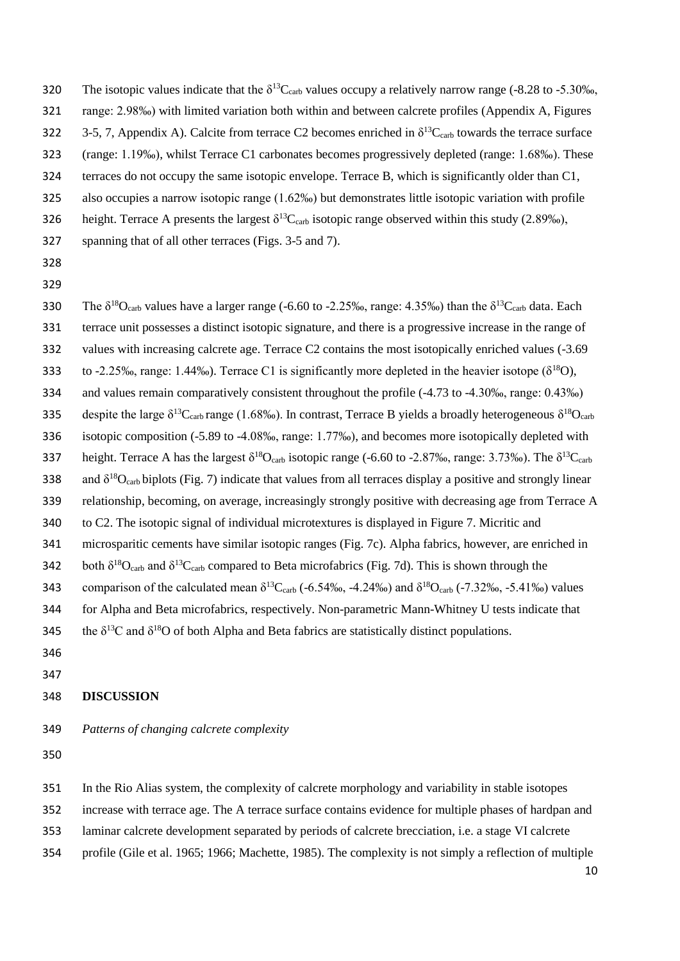- 320 The isotopic values indicate that the  $\delta^{13}C_{\text{carb}}$  values occupy a relatively narrow range (-8.28 to -5.30‰,
- range: 2.98‰) with limited variation both within and between calcrete profiles (Appendix A, Figures
- 322 3-5, 7, Appendix A). Calcite from terrace C2 becomes enriched in  $\delta^{13}$ C<sub>carb</sub> towards the terrace surface
- (range: 1.19‰), whilst Terrace C1 carbonates becomes progressively depleted (range: 1.68‰). These
- terraces do not occupy the same isotopic envelope. Terrace B, which is significantly older than C1,
- also occupies a narrow isotopic range (1.62‰) but demonstrates little isotopic variation with profile
- 326 height. Terrace A presents the largest  $\delta^{13}C_{\text{carb}}$  isotopic range observed within this study (2.89‰),
- spanning that of all other terraces (Figs. 3-5 and 7).
- 
- 
- 330 The  $\delta^{18}O_{\text{carb}}$  values have a larger range (-6.60 to -2.25‰, range: 4.35‰) than the  $\delta^{13}C_{\text{carb}}$  data. Each terrace unit possesses a distinct isotopic signature, and there is a progressive increase in the range of values with increasing calcrete age. Terrace C2 contains the most isotopically enriched values (-3.69 to -2.25‰, range: 1.44‰). Terrace C1 is significantly more depleted in the heavier isotope ( $\delta^{18}O$ ), and values remain comparatively consistent throughout the profile (-4.73 to -4.30‰, range: 0.43‰) despite the large  $\delta^{13}C_{\text{carb}}$  range (1.68‰). In contrast, Terrace B yields a broadly heterogeneous  $\delta^{18}O_{\text{carb}}$  isotopic composition (-5.89 to -4.08‰, range: 1.77‰), and becomes more isotopically depleted with 337 height. Terrace A has the largest  $\delta^{18}O_{\text{carb}}$  isotopic range (-6.60 to -2.87‰, range: 3.73‰). The  $\delta^{13}C_{\text{carb}}$ 338 and  $\delta^{18}O_{\text{carb}}$  biplots (Fig. 7) indicate that values from all terraces display a positive and strongly linear relationship, becoming, on average, increasingly strongly positive with decreasing age from Terrace A to C2. The isotopic signal of individual microtextures is displayed in Figure 7. Micritic and microsparitic cements have similar isotopic ranges (Fig. 7c). Alpha fabrics, however, are enriched in 342 both  $\delta^{18}O_{\text{carb}}$  and  $\delta^{13}C_{\text{carb}}$  compared to Beta microfabrics (Fig. 7d). This is shown through the 343 comparison of the calculated mean  $\delta^{13}C_{\text{carb}}$  (-6.54‰, -4.24‰) and  $\delta^{18}O_{\text{carb}}$  (-7.32‰, -5.41‰) values for Alpha and Beta microfabrics, respectively. Non-parametric Mann-Whitney U tests indicate that 345 the  $\delta^{13}$ C and  $\delta^{18}$ O of both Alpha and Beta fabrics are statistically distinct populations.
- 

## **DISCUSSION**

*Patterns of changing calcrete complexity*

- In the Rio Alias system, the complexity of calcrete morphology and variability in stable isotopes
- increase with terrace age. The A terrace surface contains evidence for multiple phases of hardpan and
- laminar calcrete development separated by periods of calcrete brecciation, i.e. a stage VI calcrete
- profile (Gile et al. 1965; 1966; Machette, 1985). The complexity is not simply a reflection of multiple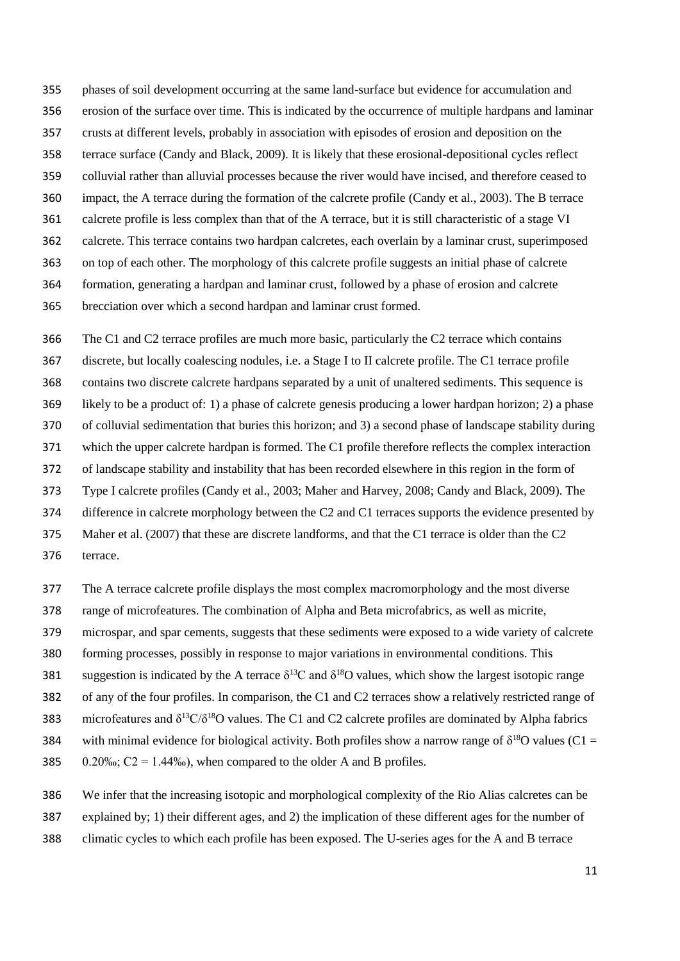phases of soil development occurring at the same land-surface but evidence for accumulation and erosion of the surface over time. This is indicated by the occurrence of multiple hardpans and laminar crusts at different levels, probably in association with episodes of erosion and deposition on the terrace surface (Candy and Black, 2009). It is likely that these erosional-depositional cycles reflect colluvial rather than alluvial processes because the river would have incised, and therefore ceased to impact, the A terrace during the formation of the calcrete profile (Candy et al., 2003). The B terrace calcrete profile is less complex than that of the A terrace, but it is still characteristic of a stage VI calcrete. This terrace contains two hardpan calcretes, each overlain by a laminar crust, superimposed on top of each other. The morphology of this calcrete profile suggests an initial phase of calcrete formation, generating a hardpan and laminar crust, followed by a phase of erosion and calcrete brecciation over which a second hardpan and laminar crust formed.

 The C1 and C2 terrace profiles are much more basic, particularly the C2 terrace which contains discrete, but locally coalescing nodules, i.e. a Stage I to II calcrete profile. The C1 terrace profile contains two discrete calcrete hardpans separated by a unit of unaltered sediments. This sequence is likely to be a product of: 1) a phase of calcrete genesis producing a lower hardpan horizon; 2) a phase of colluvial sedimentation that buries this horizon; and 3) a second phase of landscape stability during which the upper calcrete hardpan is formed. The C1 profile therefore reflects the complex interaction of landscape stability and instability that has been recorded elsewhere in this region in the form of Type I calcrete profiles (Candy et al., 2003; Maher and Harvey, 2008; Candy and Black, 2009). The difference in calcrete morphology between the C2 and C1 terraces supports the evidence presented by Maher et al. (2007) that these are discrete landforms, and that the C1 terrace is older than the C2 terrace.

- The A terrace calcrete profile displays the most complex macromorphology and the most diverse
- range of microfeatures. The combination of Alpha and Beta microfabrics, as well as micrite,
- microspar, and spar cements, suggests that these sediments were exposed to a wide variety of calcrete
- forming processes, possibly in response to major variations in environmental conditions. This
- 381 suggestion is indicated by the A terrace  $\delta^{13}$ C and  $\delta^{18}$ O values, which show the largest isotopic range
- of any of the four profiles. In comparison, the C1 and C2 terraces show a relatively restricted range of
- 383 microfeatures and  $\delta^{13}C/\delta^{18}O$  values. The C1 and C2 calcrete profiles are dominated by Alpha fabrics
- 384 with minimal evidence for biological activity. Both profiles show a narrow range of  $\delta^{18}O$  values (C1 =
- 385 0.20‰;  $C2 = 1.44\%$ , when compared to the older A and B profiles.
- We infer that the increasing isotopic and morphological complexity of the Rio Alias calcretes can be
- explained by; 1) their different ages, and 2) the implication of these different ages for the number of
- climatic cycles to which each profile has been exposed. The U-series ages for the A and B terrace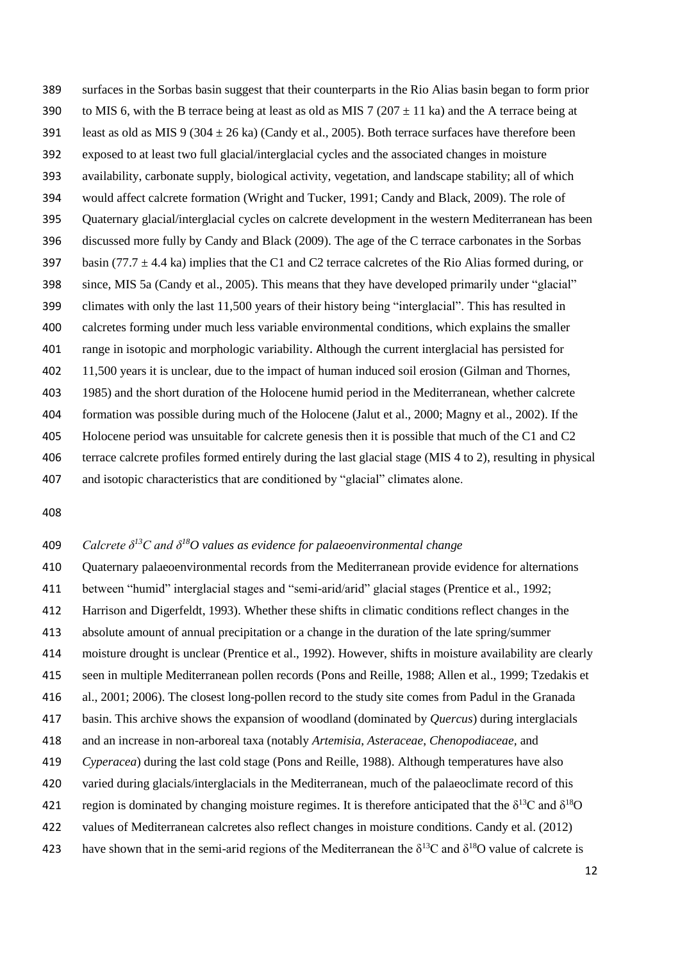surfaces in the Sorbas basin suggest that their counterparts in the Rio Alias basin began to form prior 390 to MIS 6, with the B terrace being at least as old as MIS 7 (207  $\pm$  11 ka) and the A terrace being at 391 least as old as MIS 9 (304  $\pm$  26 ka) (Candy et al., 2005). Both terrace surfaces have therefore been exposed to at least two full glacial/interglacial cycles and the associated changes in moisture availability, carbonate supply, biological activity, vegetation, and landscape stability; all of which would affect calcrete formation (Wright and Tucker, 1991; Candy and Black, 2009). The role of Quaternary glacial/interglacial cycles on calcrete development in the western Mediterranean has been discussed more fully by Candy and Black (2009). The age of the C terrace carbonates in the Sorbas 397 basin (77.7  $\pm$  4.4 ka) implies that the C1 and C2 terrace calcretes of the Rio Alias formed during, or since, MIS 5a (Candy et al., 2005). This means that they have developed primarily under "glacial" climates with only the last 11,500 years of their history being "interglacial". This has resulted in calcretes forming under much less variable environmental conditions, which explains the smaller range in isotopic and morphologic variability. Although the current interglacial has persisted for 11,500 years it is unclear, due to the impact of human induced soil erosion (Gilman and Thornes, 1985) and the short duration of the Holocene humid period in the Mediterranean, whether calcrete formation was possible during much of the Holocene (Jalut et al., 2000; Magny et al., 2002). If the Holocene period was unsuitable for calcrete genesis then it is possible that much of the C1 and C2 terrace calcrete profiles formed entirely during the last glacial stage (MIS 4 to 2), resulting in physical and isotopic characteristics that are conditioned by "glacial" climates alone.

## *Calcrete δ<sup>13</sup>C and δ<sup>18</sup> O values as evidence for palaeoenvironmental change*

 Quaternary palaeoenvironmental records from the Mediterranean provide evidence for alternations between "humid" interglacial stages and "semi-arid/arid" glacial stages (Prentice et al., 1992; Harrison and Digerfeldt, 1993). Whether these shifts in climatic conditions reflect changes in the absolute amount of annual precipitation or a change in the duration of the late spring/summer moisture drought is unclear (Prentice et al., 1992). However, shifts in moisture availability are clearly seen in multiple Mediterranean pollen records (Pons and Reille, 1988; Allen et al., 1999; Tzedakis et al., 2001; 2006). The closest long-pollen record to the study site comes from Padul in the Granada basin. This archive shows the expansion of woodland (dominated by *Quercus*) during interglacials and an increase in non-arboreal taxa (notably *Artemisia*, *Asteraceae*, *Chenopodiaceae,* and *Cyperacea*) during the last cold stage (Pons and Reille, 1988). Although temperatures have also varied during glacials/interglacials in the Mediterranean, much of the palaeoclimate record of this 421 region is dominated by changing moisture regimes. It is therefore anticipated that the  $\delta^{13}C$  and  $\delta^{18}O$  values of Mediterranean calcretes also reflect changes in moisture conditions. Candy et al. (2012) 423 have shown that in the semi-arid regions of the Mediterranean the δ<sup>13</sup>C and δ<sup>18</sup>O value of calcrete is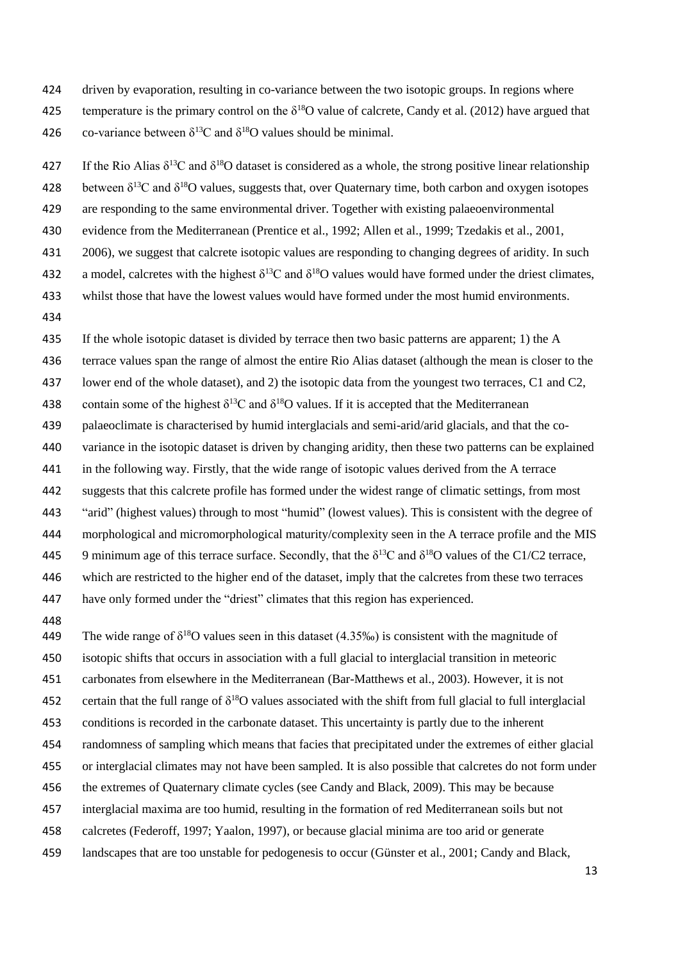- driven by evaporation, resulting in co-variance between the two isotopic groups. In regions where
- 425 temperature is the primary control on the  $\delta^{18}O$  value of calcrete, Candy et al. (2012) have argued that 426 co-variance between  $\delta^{13}$ C and  $\delta^{18}$ O values should be minimal.
- 427 If the Rio Alias  $\delta^{13}$ C and  $\delta^{18}$ O dataset is considered as a whole, the strong positive linear relationship
- 428 between  $\delta^{13}$ C and  $\delta^{18}$ O values, suggests that, over Quaternary time, both carbon and oxygen isotopes
- are responding to the same environmental driver. Together with existing palaeoenvironmental
- evidence from the Mediterranean (Prentice et al., 1992; Allen et al., 1999; Tzedakis et al., 2001,
- 2006), we suggest that calcrete isotopic values are responding to changing degrees of aridity. In such
- a model, calcretes with the highest  $\delta^{13}C$  and  $\delta^{18}O$  values would have formed under the driest climates,
- whilst those that have the lowest values would have formed under the most humid environments.
- 

 If the whole isotopic dataset is divided by terrace then two basic patterns are apparent; 1) the A terrace values span the range of almost the entire Rio Alias dataset (although the mean is closer to the lower end of the whole dataset), and 2) the isotopic data from the youngest two terraces, C1 and C2, 438 contain some of the highest  $\delta^{13}C$  and  $\delta^{18}O$  values. If it is accepted that the Mediterranean palaeoclimate is characterised by humid interglacials and semi-arid/arid glacials, and that the co- variance in the isotopic dataset is driven by changing aridity, then these two patterns can be explained in the following way. Firstly, that the wide range of isotopic values derived from the A terrace suggests that this calcrete profile has formed under the widest range of climatic settings, from most "arid" (highest values) through to most "humid" (lowest values). This is consistent with the degree of morphological and micromorphological maturity/complexity seen in the A terrace profile and the MIS 9 minimum age of this terrace surface. Secondly, that the  $\delta^{13}$ C and  $\delta^{18}$ O values of the C1/C2 terrace, which are restricted to the higher end of the dataset, imply that the calcretes from these two terraces have only formed under the "driest" climates that this region has experienced.

449 The wide range of  $\delta^{18}$ O values seen in this dataset (4.35‰) is consistent with the magnitude of

isotopic shifts that occurs in association with a full glacial to interglacial transition in meteoric

- carbonates from elsewhere in the Mediterranean (Bar-Matthews et al., 2003). However, it is not
- 452 certain that the full range of  $\delta^{18}O$  values associated with the shift from full glacial to full interglacial
- conditions is recorded in the carbonate dataset. This uncertainty is partly due to the inherent
- randomness of sampling which means that facies that precipitated under the extremes of either glacial
- or interglacial climates may not have been sampled. It is also possible that calcretes do not form under
- the extremes of Quaternary climate cycles (see Candy and Black, 2009). This may be because
- interglacial maxima are too humid, resulting in the formation of red Mediterranean soils but not
- calcretes (Federoff, 1997; Yaalon, 1997), or because glacial minima are too arid or generate
- landscapes that are too unstable for pedogenesis to occur (Günster et al., 2001; Candy and Black,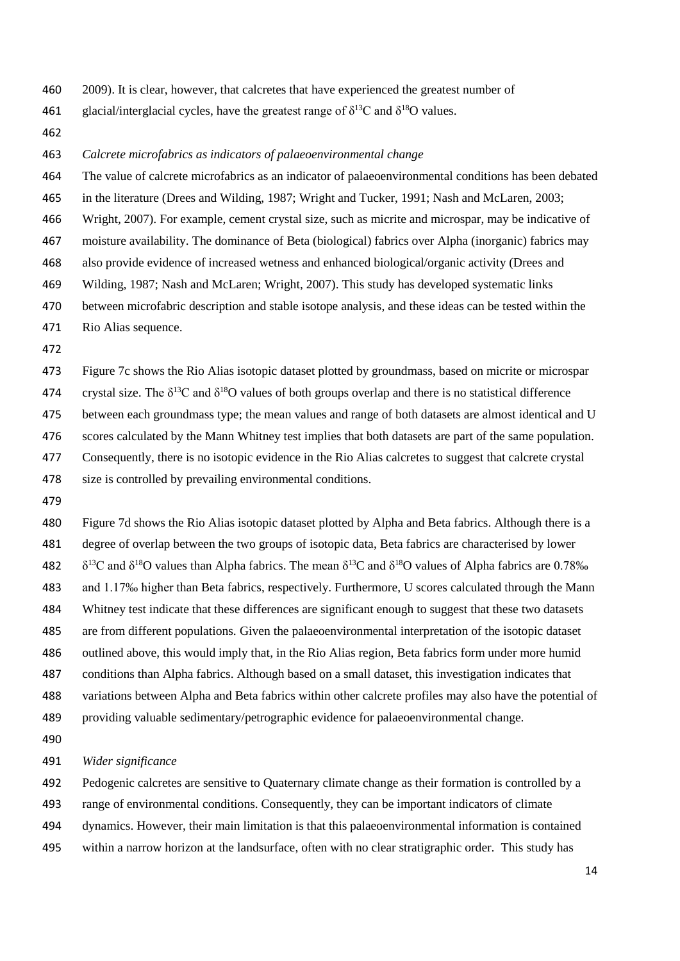- 2009). It is clear, however, that calcretes that have experienced the greatest number of
- 461 glacial/interglacial cycles, have the greatest range of  $\delta^{13}C$  and  $\delta^{18}O$  values.
- 

#### *Calcrete microfabrics as indicators of palaeoenvironmental change*

- The value of calcrete microfabrics as an indicator of palaeoenvironmental conditions has been debated
- in the literature (Drees and Wilding, 1987; Wright and Tucker, 1991; Nash and McLaren, 2003;
- Wright, 2007). For example, cement crystal size, such as micrite and microspar, may be indicative of
- moisture availability. The dominance of Beta (biological) fabrics over Alpha (inorganic) fabrics may
- also provide evidence of increased wetness and enhanced biological/organic activity (Drees and
- Wilding, 1987; Nash and McLaren; Wright, 2007). This study has developed systematic links
- between microfabric description and stable isotope analysis, and these ideas can be tested within the
- Rio Alias sequence.
- 

 Figure 7c shows the Rio Alias isotopic dataset plotted by groundmass, based on micrite or microspar 474 crystal size. The  $\delta^{13}C$  and  $\delta^{18}O$  values of both groups overlap and there is no statistical difference between each groundmass type; the mean values and range of both datasets are almost identical and U scores calculated by the Mann Whitney test implies that both datasets are part of the same population. Consequently, there is no isotopic evidence in the Rio Alias calcretes to suggest that calcrete crystal 478 size is controlled by prevailing environmental conditions.

 Figure 7d shows the Rio Alias isotopic dataset plotted by Alpha and Beta fabrics. Although there is a degree of overlap between the two groups of isotopic data, Beta fabrics are characterised by lower  $\delta^{13}$ C and  $\delta^{18}$ O values than Alpha fabrics. The mean  $\delta^{13}$ C and  $\delta^{18}$ O values of Alpha fabrics are 0.78‰ and 1.17‰ higher than Beta fabrics, respectively. Furthermore, U scores calculated through the Mann Whitney test indicate that these differences are significant enough to suggest that these two datasets are from different populations. Given the palaeoenvironmental interpretation of the isotopic dataset outlined above, this would imply that, in the Rio Alias region, Beta fabrics form under more humid conditions than Alpha fabrics. Although based on a small dataset, this investigation indicates that variations between Alpha and Beta fabrics within other calcrete profiles may also have the potential of providing valuable sedimentary/petrographic evidence for palaeoenvironmental change.

#### *Wider significance*

 Pedogenic calcretes are sensitive to Quaternary climate change as their formation is controlled by a range of environmental conditions. Consequently, they can be important indicators of climate dynamics. However, their main limitation is that this palaeoenvironmental information is contained within a narrow horizon at the landsurface, often with no clear stratigraphic order. This study has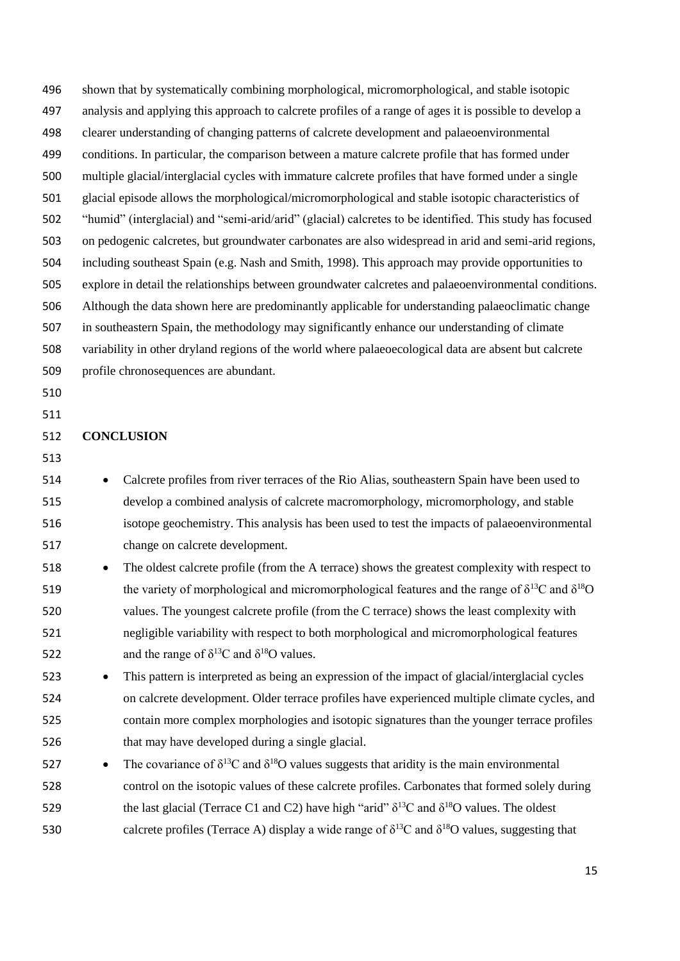shown that by systematically combining morphological, micromorphological, and stable isotopic analysis and applying this approach to calcrete profiles of a range of ages it is possible to develop a clearer understanding of changing patterns of calcrete development and palaeoenvironmental conditions. In particular, the comparison between a mature calcrete profile that has formed under multiple glacial/interglacial cycles with immature calcrete profiles that have formed under a single glacial episode allows the morphological/micromorphological and stable isotopic characteristics of "humid" (interglacial) and "semi-arid/arid" (glacial) calcretes to be identified. This study has focused on pedogenic calcretes, but groundwater carbonates are also widespread in arid and semi-arid regions, including southeast Spain (e.g. Nash and Smith, 1998). This approach may provide opportunities to explore in detail the relationships between groundwater calcretes and palaeoenvironmental conditions. Although the data shown here are predominantly applicable for understanding palaeoclimatic change in southeastern Spain, the methodology may significantly enhance our understanding of climate variability in other dryland regions of the world where palaeoecological data are absent but calcrete profile chronosequences are abundant. **CONCLUSION** 514 • Calcrete profiles from river terraces of the Rio Alias, southeastern Spain have been used to develop a combined analysis of calcrete macromorphology, micromorphology, and stable isotope geochemistry. This analysis has been used to test the impacts of palaeoenvironmental change on calcrete development. 518 • The oldest calcrete profile (from the A terrace) shows the greatest complexity with respect to 519 the variety of morphological and micromorphological features and the range of  $\delta^{13}C$  and  $\delta^{18}O$  values. The youngest calcrete profile (from the C terrace) shows the least complexity with negligible variability with respect to both morphological and micromorphological features 522 and the range of  $\delta^{13}$ C and  $\delta^{18}$ O values. 523 • This pattern is interpreted as being an expression of the impact of glacial/interglacial cycles on calcrete development. Older terrace profiles have experienced multiple climate cycles, and contain more complex morphologies and isotopic signatures than the younger terrace profiles that may have developed during a single glacial. 527 • The covariance of  $\delta^{13}C$  and  $\delta^{18}O$  values suggests that aridity is the main environmental control on the isotopic values of these calcrete profiles. Carbonates that formed solely during 529 the last glacial (Terrace C1 and C2) have high "arid"  $\delta^{13}$ C and  $\delta^{18}$ O values. The oldest 530 calcrete profiles (Terrace A) display a wide range of  $\delta^{13}$ C and  $\delta^{18}$ O values, suggesting that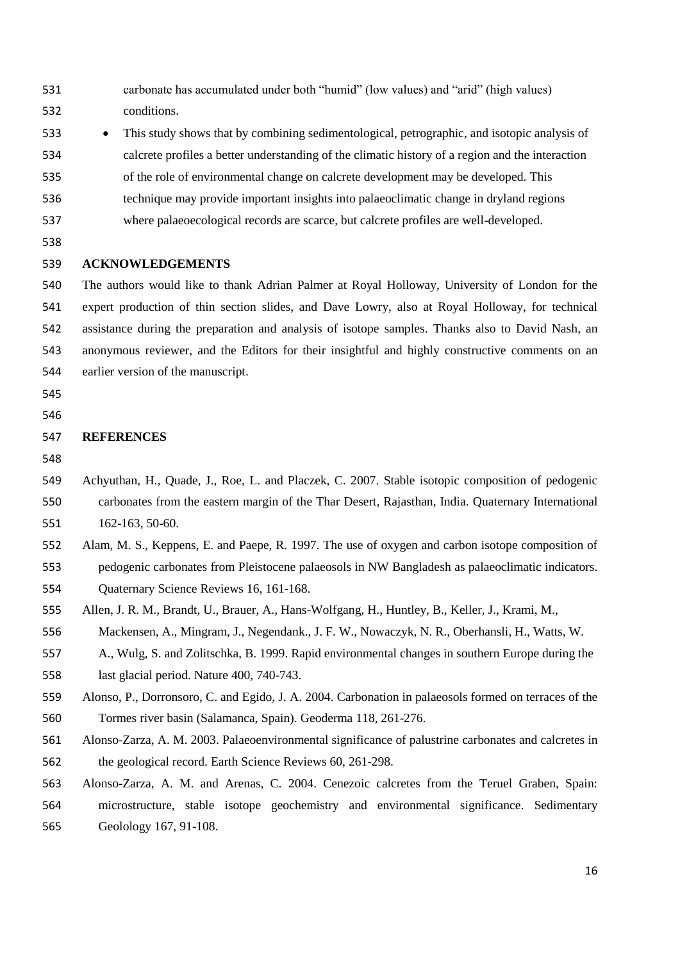- carbonate has accumulated under both "humid" (low values) and "arid" (high values) conditions.
- This study shows that by combining sedimentological, petrographic, and isotopic analysis of calcrete profiles a better understanding of the climatic history of a region and the interaction of the role of environmental change on calcrete development may be developed. This
- technique may provide important insights into palaeoclimatic change in dryland regions
- 
- where palaeoecological records are scarce, but calcrete profiles are well-developed.
- 

## **ACKNOWLEDGEMENTS**

 The authors would like to thank Adrian Palmer at Royal Holloway, University of London for the expert production of thin section slides, and Dave Lowry, also at Royal Holloway, for technical assistance during the preparation and analysis of isotope samples. Thanks also to David Nash, an anonymous reviewer, and the Editors for their insightful and highly constructive comments on an earlier version of the manuscript.

- 
- 

#### **REFERENCES**

- 
- Achyuthan, H., Quade, J., Roe, L. and Placzek, C. 2007. Stable isotopic composition of pedogenic carbonates from the eastern margin of the Thar Desert, Rajasthan, India. Quaternary International 162-163, 50-60.
- Alam, M. S., Keppens, E. and Paepe, R. 1997. The use of oxygen and carbon isotope composition of pedogenic carbonates from Pleistocene palaeosols in NW Bangladesh as palaeoclimatic indicators.
- Quaternary Science Reviews 16, 161-168.
- Allen, J. R. M., Brandt, U., Brauer, A., Hans-Wolfgang, H., Huntley, B., Keller, J., Krami, M., Mackensen, A., Mingram, J., Negendank., J. F. W., Nowaczyk, N. R., Oberhansli, H., Watts, W.
- A., Wulg, S. and Zolitschka, B. 1999. Rapid environmental changes in southern Europe during the last glacial period. Nature 400, 740-743.
- Alonso, P., Dorronsoro, C. and Egido, J. A. 2004. Carbonation in palaeosols formed on terraces of the
- Tormes river basin (Salamanca, Spain). Geoderma 118, 261-276.
- Alonso-Zarza, A. M. 2003. Palaeoenvironmental significance of palustrine carbonates and calcretes in the geological record. Earth Science Reviews 60, 261-298.
- Alonso-Zarza, A. M. and Arenas, C. 2004. Cenezoic calcretes from the Teruel Graben, Spain: microstructure, stable isotope geochemistry and environmental significance. Sedimentary Geolology 167, 91-108.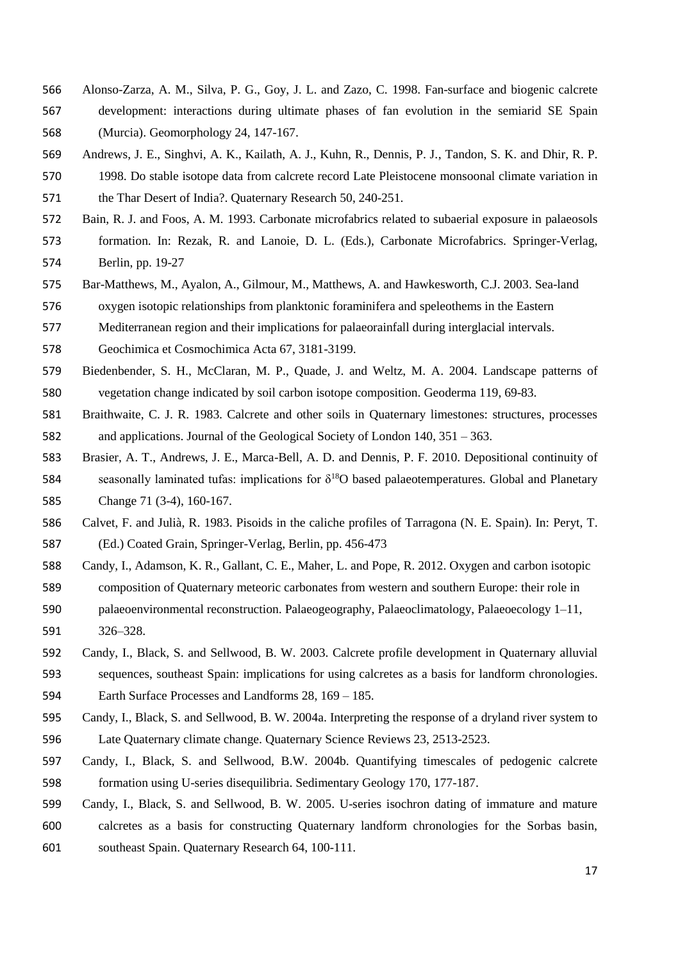- Alonso-Zarza, A. M., Silva, P. G., Goy, J. L. and Zazo, C. 1998. Fan-surface and biogenic calcrete development: interactions during ultimate phases of fan evolution in the semiarid SE Spain (Murcia). Geomorphology 24, 147-167.
- Andrews, J. E., Singhvi, A. K., Kailath, A. J., Kuhn, R., Dennis, P. J., Tandon, S. K. and Dhir, R. P.
- 1998. Do stable isotope data from calcrete record Late Pleistocene monsoonal climate variation in the Thar Desert of India?. Quaternary Research 50, 240-251.
- Bain, R. J. and Foos, A. M. 1993. Carbonate microfabrics related to subaerial exposure in palaeosols formation. In: Rezak, R. and Lanoie, D. L. (Eds.), Carbonate Microfabrics. Springer-Verlag, Berlin, pp. 19-27
- Bar-Matthews, M., Ayalon, A., Gilmour, M., Matthews, A. and Hawkesworth, C.J. 2003. Sea-land oxygen isotopic relationships from planktonic foraminifera and speleothems in the Eastern
- Mediterranean region and their implications for palaeorainfall during interglacial intervals.
- Geochimica et Cosmochimica Acta 67, 3181-3199.
- Biedenbender, S. H., McClaran, M. P., Quade, J. and Weltz, M. A. 2004. Landscape patterns of vegetation change indicated by soil carbon isotope composition. Geoderma 119, 69-83.
- Braithwaite, C. J. R. 1983. Calcrete and other soils in Quaternary limestones: structures, processes and applications. Journal of the Geological Society of London 140, 351 – 363.
- Brasier, A. T., Andrews, J. E., Marca-Bell, A. D. and Dennis, P. F. 2010. Depositional continuity of 584 seasonally laminated tufas: implications for  $\delta^{18}O$  based palaeotemperatures. Global and Planetary Change 71 (3-4), 160-167.
- Calvet, F. and Julià, R. 1983. Pisoids in the caliche profiles of Tarragona (N. E. Spain). In: Peryt, T. (Ed.) Coated Grain, Springer-Verlag, Berlin, pp. 456-473
- Candy, I., Adamson, K. R., Gallant, C. E., Maher, L. and Pope, R. 2012. Oxygen and carbon isotopic
- composition of Quaternary meteoric carbonates from western and southern Europe: their role in palaeoenvironmental reconstruction. Palaeogeography, Palaeoclimatology, Palaeoecology 1–11,
- 326–328.
- Candy, I., Black, S. and Sellwood, B. W. 2003. Calcrete profile development in Quaternary alluvial sequences, southeast Spain: implications for using calcretes as a basis for landform chronologies. Earth Surface Processes and Landforms 28, 169 – 185.
- Candy, I., Black, S. and Sellwood, B. W. 2004a. Interpreting the response of a dryland river system to Late Quaternary climate change. Quaternary Science Reviews 23, 2513-2523.
- Candy, I., Black, S. and Sellwood, B.W. 2004b. Quantifying timescales of pedogenic calcrete formation using U-series disequilibria. Sedimentary Geology 170, 177-187.
- Candy, I., Black, S. and Sellwood, B. W. 2005. U-series isochron dating of immature and mature calcretes as a basis for constructing Quaternary landform chronologies for the Sorbas basin, southeast Spain. Quaternary Research 64, 100-111.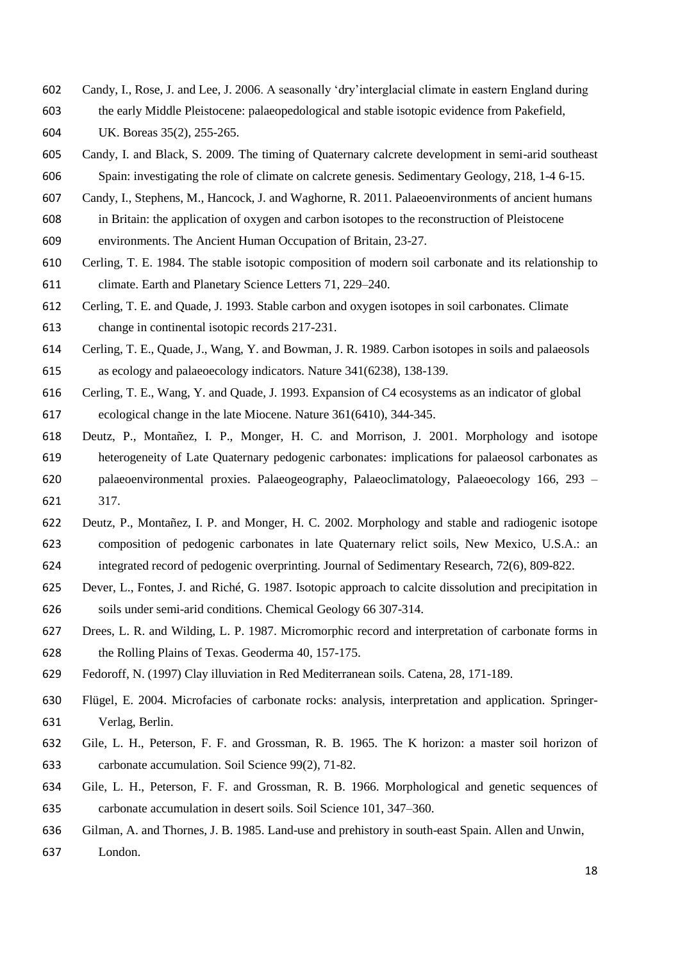- Candy, I., Rose, J. and Lee, J. 2006. A seasonally 'dry'interglacial climate in eastern England during
- the early Middle Pleistocene: palaeopedological and stable isotopic evidence from Pakefield,
- UK. Boreas 35(2), 255-265.
- Candy, I. and Black, S. 2009. The timing of Quaternary calcrete development in semi-arid southeast Spain: investigating the role of climate on calcrete genesis. Sedimentary Geology, 218, 1-4 6-15.
- Candy, I., Stephens, M., Hancock, J. and Waghorne, R. 2011. Palaeoenvironments of ancient humans
- in Britain: the application of oxygen and carbon isotopes to the reconstruction of Pleistocene environments. The Ancient Human Occupation of Britain, 23-27.
- Cerling, T. E. 1984. The stable isotopic composition of modern soil carbonate and its relationship to climate. Earth and Planetary Science Letters 71, 229–240.
- Cerling, T. E. and Quade, J. 1993. Stable carbon and oxygen isotopes in soil carbonates. Climate change in continental isotopic records 217-231.
- Cerling, T. E., Quade, J., Wang, Y. and Bowman, J. R. 1989. Carbon isotopes in soils and palaeosols as ecology and palaeoecology indicators. Nature 341(6238), 138-139.
- Cerling, T. E., Wang, Y. and Quade, J. 1993. Expansion of C4 ecosystems as an indicator of global ecological change in the late Miocene. Nature 361(6410), 344-345.
- Deutz, P., Montañez, I. P., Monger, H. C. and Morrison, J. 2001. Morphology and isotope heterogeneity of Late Quaternary pedogenic carbonates: implications for palaeosol carbonates as palaeoenvironmental proxies. Palaeogeography, Palaeoclimatology, Palaeoecology 166, 293 – 317.
- Deutz, P., Montañez, I. P. and Monger, H. C. 2002. Morphology and stable and radiogenic isotope composition of pedogenic carbonates in late Quaternary relict soils, New Mexico, U.S.A.: an integrated record of pedogenic overprinting. Journal of Sedimentary Research, 72(6), 809-822.
- Dever, L., Fontes, J. and Riché, G. 1987. Isotopic approach to calcite dissolution and precipitation in soils under semi-arid conditions. Chemical Geology 66 307-314.
- Drees, L. R. and Wilding, L. P. 1987. Micromorphic record and interpretation of carbonate forms in the Rolling Plains of Texas. Geoderma 40, 157-175.
- Fedoroff, N. (1997) Clay illuviation in Red Mediterranean soils. Catena, 28, 171-189.
- Flügel, E. 2004. Microfacies of carbonate rocks: analysis, interpretation and application*.* Springer-Verlag, Berlin.
- Gile, L. H., Peterson, F. F. and Grossman, R. B. 1965. The K horizon: a master soil horizon of carbonate accumulation. Soil Science 99(2), 71-82.
- Gile, L. H., Peterson, F. F. and Grossman, R. B. 1966. Morphological and genetic sequences of carbonate accumulation in desert soils. Soil Science 101, 347–360.
- Gilman, A. and Thornes, J. B. 1985. Land-use and prehistory in south-east Spain. Allen and Unwin,
- London.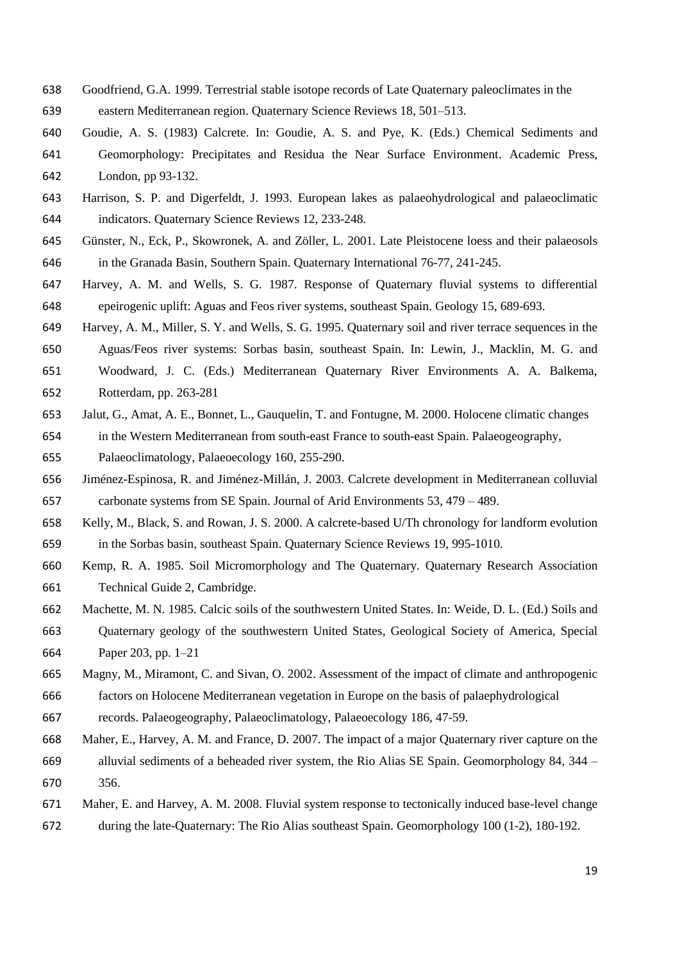- Goodfriend, G.A. 1999. Terrestrial stable isotope records of Late Quaternary paleoclimates in the
- eastern Mediterranean region. Quaternary Science Reviews 18, 501–513.
- Goudie, A. S. (1983) Calcrete. In: Goudie, A. S. and Pye, K. (Eds.) Chemical Sediments and Geomorphology: Precipitates and Residua the Near Surface Environment. Academic Press, London, pp 93-132.
- Harrison, S. P. and Digerfeldt, J. 1993. European lakes as palaeohydrological and palaeoclimatic

indicators. Quaternary Science Reviews 12, 233-248.

- Günster, N., Eck, P., Skowronek, A. and Zöller, L. 2001. Late Pleistocene loess and their palaeosols in the Granada Basin, Southern Spain. Quaternary International 76-77, 241-245.
- Harvey, A. M. and Wells, S. G. 1987. Response of Quaternary fluvial systems to differential epeirogenic uplift: Aguas and Feos river systems, southeast Spain. Geology 15, 689-693.
- Harvey, A. M., Miller, S. Y. and Wells, S. G. 1995. Quaternary soil and river terrace sequences in the Aguas/Feos river systems: Sorbas basin, southeast Spain. In: Lewin, J., Macklin, M. G. and
- Woodward, J. C. (Eds.) Mediterranean Quaternary River Environments A. A. Balkema,
- Rotterdam, pp. 263-281
- Jalut, G., Amat, A. E., Bonnet, L., Gauquelin, T. and Fontugne, M. 2000. Holocene climatic changes in the Western Mediterranean from south-east France to south-east Spain. Palaeogeography,
- Palaeoclimatology, Palaeoecology 160, 255-290.
- Jiménez-Espinosa, R. and Jiménez-Millán, J. 2003. Calcrete development in Mediterranean colluvial carbonate systems from SE Spain. Journal of Arid Environments 53, 479 – 489.
- Kelly, M., Black, S. and Rowan, J. S. 2000. A calcrete-based U/Th chronology for landform evolution in the Sorbas basin, southeast Spain. Quaternary Science Reviews 19, 995-1010.
- Kemp, R. A. 1985. Soil Micromorphology and The Quaternary*.* Quaternary Research Association Technical Guide 2, Cambridge.
- Machette, M. N. 1985. Calcic soils of the southwestern United States. In: Weide, D. L. (Ed.) Soils and Quaternary geology of the southwestern United States, Geological Society of America, Special Paper 203, pp. 1–21
- Magny, M., Miramont, C. and Sivan, O. 2002. Assessment of the impact of climate and anthropogenic factors on Holocene Mediterranean vegetation in Europe on the basis of palaephydrological
- records. Palaeogeography, Palaeoclimatology, Palaeoecology 186, 47-59.
- Maher, E., Harvey, A. M. and France, D. 2007. The impact of a major Quaternary river capture on the alluvial sediments of a beheaded river system, the Rio Alias SE Spain. Geomorphology 84, 344 – 356.
- Maher, E. and Harvey, A. M. 2008. Fluvial system response to tectonically induced base-level change during the late-Quaternary: The Rio Alias southeast Spain. Geomorphology 100 (1-2), 180-192.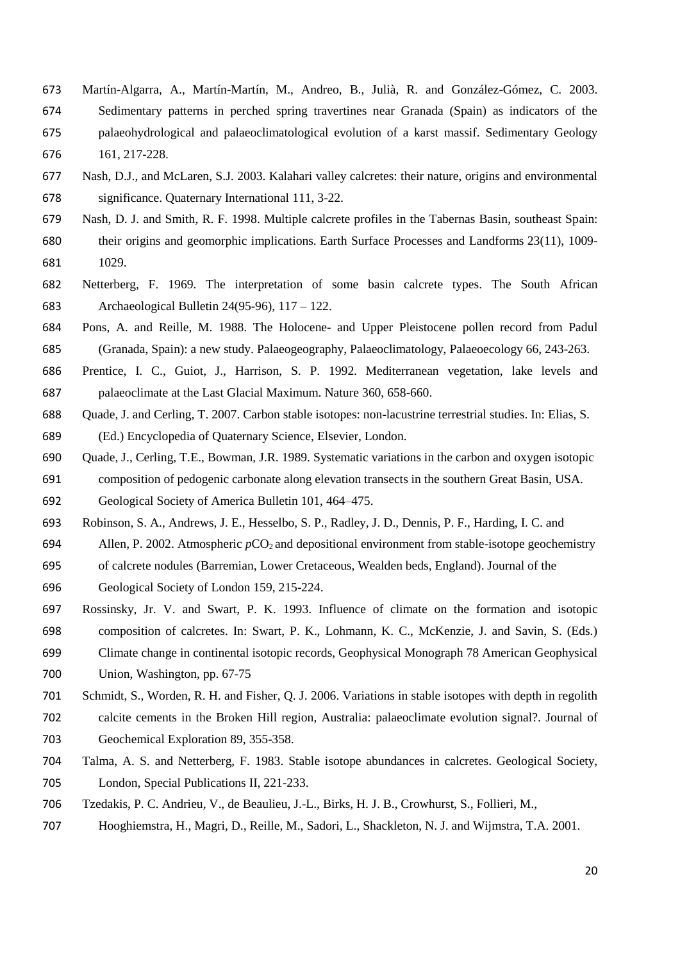- Martín-Algarra, A., Martín-Martín, M., Andreo, B., Julià, R. and González-Gómez, C. 2003. Sedimentary patterns in perched spring travertines near Granada (Spain) as indicators of the palaeohydrological and palaeoclimatological evolution of a karst massif. Sedimentary Geology 161, 217-228.
- Nash, D.J., and McLaren, S.J. 2003. Kalahari valley calcretes: their nature, origins and environmental significance. Quaternary International 111, 3-22.
- Nash, D. J. and Smith, R. F. 1998. Multiple calcrete profiles in the Tabernas Basin, southeast Spain: their origins and geomorphic implications. Earth Surface Processes and Landforms 23(11), 1009- 1029.
- Netterberg, F. 1969. The interpretation of some basin calcrete types. The South African Archaeological Bulletin 24(95-96), 117 – 122.
- Pons, A. and Reille, M. 1988. The Holocene- and Upper Pleistocene pollen record from Padul (Granada, Spain): a new study. Palaeogeography, Palaeoclimatology, Palaeoecology 66, 243-263.
- Prentice, I. C., Guiot, J., Harrison, S. P. 1992. Mediterranean vegetation, lake levels and palaeoclimate at the Last Glacial Maximum. Nature 360, 658-660.
- Quade, J. and Cerling, T. 2007. Carbon stable isotopes: non-lacustrine terrestrial studies. In: Elias, S. (Ed.) Encyclopedia of Quaternary Science, Elsevier, London.
- Quade, J., Cerling, T.E., Bowman, J.R. 1989. Systematic variations in the carbon and oxygen isotopic composition of pedogenic carbonate along elevation transects in the southern Great Basin, USA.

Geological Society of America Bulletin 101, 464–475.

- Robinson, S. A., Andrews, J. E., Hesselbo, S. P., Radley, J. D., Dennis, P. F., Harding, I. C. and
- Allen, P. 2002. Atmospheric *p*CO2 and depositional environment from stable-isotope geochemistry
- of calcrete nodules (Barremian, Lower Cretaceous, Wealden beds, England). Journal of the
- Geological Society of London 159, 215-224.
- Rossinsky, Jr. V. and Swart, P. K. 1993. Influence of climate on the formation and isotopic composition of calcretes. In: Swart, P. K., Lohmann, K. C., McKenzie, J. and Savin, S. (Eds.) Climate change in continental isotopic records, Geophysical Monograph 78 American Geophysical Union, Washington, pp. 67-75
- Schmidt, S., Worden, R. H. and Fisher, Q. J. 2006. Variations in stable isotopes with depth in regolith calcite cements in the Broken Hill region, Australia: palaeoclimate evolution signal?. Journal of
- Geochemical Exploration 89, 355-358.
- Talma, A. S. and Netterberg, F. 1983. Stable isotope abundances in calcretes. Geological Society, London, Special Publications II, 221-233.
- Tzedakis, P. C. Andrieu, V., de Beaulieu, J.-L., Birks, H. J. B., Crowhurst, S., Follieri, M.,
- Hooghiemstra, H., Magri, D., Reille, M., Sadori, L., Shackleton, N. J. and Wijmstra, T.A. 2001.